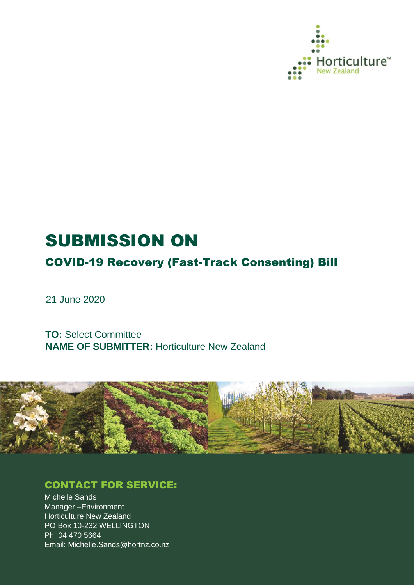

# SUBMISSION ON

COVID-19 Recovery (Fast-Track Consenting) Bill

21 June 2020

**TO:** Select Committee **NAME OF SUBMITTER:** Horticulture New Zealand



# CONTACT FOR SERVICE:

Michelle Sands Manager –Environment Horticulture New Zealand PO Box 10-232 WELLINGTON Ph: 04 470 5664 Email: Michelle.Sands@hortnz.co.nz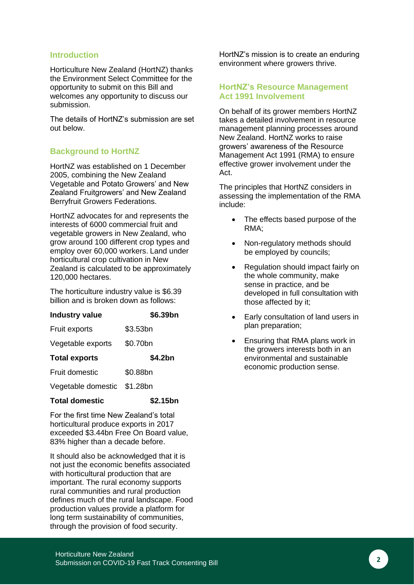#### **Introduction**

Horticulture New Zealand (HortNZ) thanks the Environment Select Committee for the opportunity to submit on this Bill and welcomes any opportunity to discuss our submission.

The details of HortNZ's submission are set out below.

### **Background to HortNZ**

HortNZ was established on 1 December 2005, combining the New Zealand Vegetable and Potato Growers' and New Zealand Fruitgrowers' and New Zealand Berryfruit Growers Federations.

HortNZ advocates for and represents the interests of 6000 commercial fruit and vegetable growers in New Zealand, who grow around 100 different crop types and employ over 60,000 workers. Land under horticultural crop cultivation in New Zealand is calculated to be approximately 120,000 hectares.

The horticulture industry value is \$6.39 billion and is broken down as follows:

| <b>Industry value</b> | \$6.39bn |
|-----------------------|----------|
| <b>Fruit exports</b>  | \$3.53bn |
| Vegetable exports     | \$0.70bn |
| <b>Total exports</b>  | \$4.2bn  |
| Fruit domestic        | \$0.88bn |
| Vegetable domestic    | \$1.28bn |
| <b>Total domestic</b> | \$2.15bn |

For the first time New Zealand's total horticultural produce exports in 2017 exceeded \$3.44bn Free On Board value, 83% higher than a decade before.

It should also be acknowledged that it is not just the economic benefits associated with horticultural production that are important. The rural economy supports rural communities and rural production defines much of the rural landscape. Food production values provide a platform for long term sustainability of communities, through the provision of food security.

HortNZ's mission is to create an enduring environment where growers thrive.

#### **HortNZ's Resource Management Act 1991 Involvement**

On behalf of its grower members HortNZ takes a detailed involvement in resource management planning processes around New Zealand. HortNZ works to raise growers' awareness of the Resource Management Act 1991 (RMA) to ensure effective grower involvement under the Act.

The principles that HortNZ considers in assessing the implementation of the RMA include:

- The effects based purpose of the RMA;
- Non-regulatory methods should be employed by councils;
- Regulation should impact fairly on the whole community, make sense in practice, and be developed in full consultation with those affected by it;
- Early consultation of land users in plan preparation;
- Ensuring that RMA plans work in the growers interests both in an environmental and sustainable economic production sense.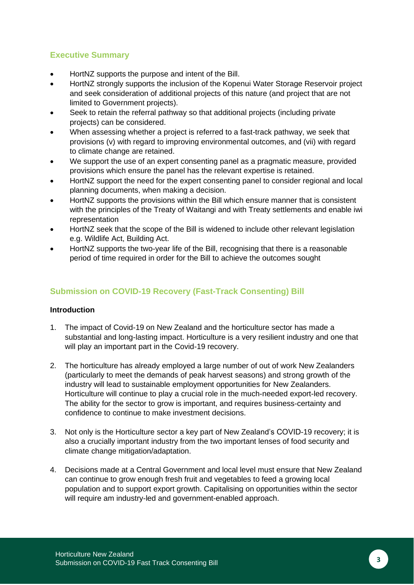# **Executive Summary**

- HortNZ supports the purpose and intent of the Bill.
- HortNZ strongly supports the inclusion of the Kopenui Water Storage Reservoir project and seek consideration of additional projects of this nature (and project that are not limited to Government projects).
- Seek to retain the referral pathway so that additional projects (including private projects) can be considered.
- When assessing whether a project is referred to a fast-track pathway, we seek that provisions (v) with regard to improving environmental outcomes, and (vii) with regard to climate change are retained.
- We support the use of an expert consenting panel as a pragmatic measure, provided provisions which ensure the panel has the relevant expertise is retained.
- HortNZ support the need for the expert consenting panel to consider regional and local planning documents, when making a decision.
- HortNZ supports the provisions within the Bill which ensure manner that is consistent with the principles of the Treaty of Waitangi and with Treaty settlements and enable iwi representation
- HortNZ seek that the scope of the Bill is widened to include other relevant legislation e.g. Wildlife Act, Building Act.
- HortNZ supports the two-year life of the Bill, recognising that there is a reasonable period of time required in order for the Bill to achieve the outcomes sought

## **Submission on COVID-19 Recovery (Fast-Track Consenting) Bill**

#### **Introduction**

- 1. The impact of Covid-19 on New Zealand and the horticulture sector has made a substantial and long-lasting impact. Horticulture is a very resilient industry and one that will play an important part in the Covid-19 recovery.
- 2. The horticulture has already employed a large number of out of work New Zealanders (particularly to meet the demands of peak harvest seasons) and strong growth of the industry will lead to sustainable employment opportunities for New Zealanders. Horticulture will continue to play a crucial role in the much-needed export-led recovery. The ability for the sector to grow is important, and requires business-certainty and confidence to continue to make investment decisions.
- 3. Not only is the Horticulture sector a key part of New Zealand's COVID-19 recovery; it is also a crucially important industry from the two important lenses of food security and climate change mitigation/adaptation.
- 4. Decisions made at a Central Government and local level must ensure that New Zealand can continue to grow enough fresh fruit and vegetables to feed a growing local population and to support export growth. Capitalising on opportunities within the sector will require am industry-led and government-enabled approach.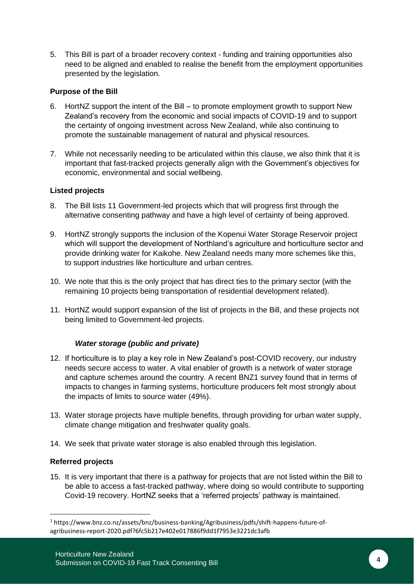5. This Bill is part of a broader recovery context - funding and training opportunities also need to be aligned and enabled to realise the benefit from the employment opportunities presented by the legislation.

#### **Purpose of the Bill**

- 6. HortNZ support the intent of the Bill to promote employment growth to support New Zealand's recovery from the economic and social impacts of COVID-19 and to support the certainty of ongoing investment across New Zealand, while also continuing to promote the sustainable management of natural and physical resources.
- 7. While not necessarily needing to be articulated within this clause, we also think that it is important that fast-tracked projects generally align with the Government's objectives for economic, environmental and social wellbeing.

#### **Listed projects**

- 8. The Bill lists 11 Government-led projects which that will progress first through the alternative consenting pathway and have a high level of certainty of being approved.
- 9. HortNZ strongly supports the inclusion of the Kopenui Water Storage Reservoir project which will support the development of Northland's agriculture and horticulture sector and provide drinking water for Kaikohe. New Zealand needs many more schemes like this, to support industries like horticulture and urban centres.
- 10. We note that this is the only project that has direct ties to the primary sector (with the remaining 10 projects being transportation of residential development related).
- 11. HortNZ would support expansion of the list of projects in the Bill, and these projects not being limited to Government-led projects.

#### *Water storage (public and private)*

- 12. If horticulture is to play a key role in New Zealand's post-COVID recovery, our industry needs secure access to water. A vital enabler of growth is a network of water storage and capture schemes around the country. A recent BNZ1 survey found that in terms of impacts to changes in farming systems, horticulture producers felt most strongly about the impacts of limits to source water (49%).
- 13. Water storage projects have multiple benefits, through providing for urban water supply, climate change mitigation and freshwater quality goals.
- 14. We seek that private water storage is also enabled through this legislation.

#### **Referred projects**

15. It is very important that there is a pathway for projects that are not listed within the Bill to be able to access a fast-tracked pathway, where doing so would contribute to supporting Covid-19 recovery. HortNZ seeks that a 'referred projects' pathway is maintained.

<sup>1</sup> https://www.bnz.co.nz/assets/bnz/business-banking/Agribusiness/pdfs/shift-happens-future-ofagribusiness-report-2020.pdf?6fc5b217e402e017886f9dd1f7953e3221dc3afb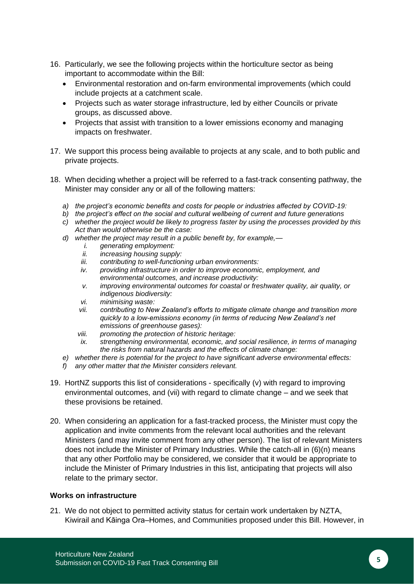- 16. Particularly, we see the following projects within the horticulture sector as being important to accommodate within the Bill:
	- Environmental restoration and on-farm environmental improvements (which could include projects at a catchment scale.
	- Projects such as water storage infrastructure, led by either Councils or private groups, as discussed above.
	- Projects that assist with transition to a lower emissions economy and managing impacts on freshwater.
- 17. We support this process being available to projects at any scale, and to both public and private projects.
- 18. When deciding whether a project will be referred to a fast-track consenting pathway, the Minister may consider any or all of the following matters:
	- *a) the project's economic benefits and costs for people or industries affected by COVID-19:*
	- *b) the project's effect on the social and cultural wellbeing of current and future generations*
	- *c) whether the project would be likely to progress faster by using the processes provided by this Act than would otherwise be the case:*
	- *d) whether the project may result in a public benefit by, for example,*
		- *i. generating employment:*
		- *ii. increasing housing supply:*
		- *iii. contributing to well-functioning urban environments:*
		- *iv. providing infrastructure in order to improve economic, employment, and environmental outcomes, and increase productivity:*
		- *v. improving environmental outcomes for coastal or freshwater quality, air quality, or indigenous biodiversity:*
		- *vi. minimising waste:*
		- *vii. contributing to New Zealand's efforts to mitigate climate change and transition more quickly to a low-emissions economy (in terms of reducing New Zealand's net emissions of greenhouse gases):*
		- *viii. promoting the protection of historic heritage:*
		- *ix. strengthening environmental, economic, and social resilience, in terms of managing the risks from natural hazards and the effects of climate change:*
	- *e) whether there is potential for the project to have significant adverse environmental effects:*
	- *f) any other matter that the Minister considers relevant.*
- 19. HortNZ supports this list of considerations specifically (v) with regard to improving environmental outcomes, and (vii) with regard to climate change – and we seek that these provisions be retained.
- 20. When considering an application for a fast-tracked process, the Minister must copy the application and invite comments from the relevant local authorities and the relevant Ministers (and may invite comment from any other person). The list of relevant Ministers does not include the Minister of Primary Industries. While the catch-all in (6)(n) means that any other Portfolio may be considered, we consider that it would be appropriate to include the Minister of Primary Industries in this list, anticipating that projects will also relate to the primary sector.

#### **Works on infrastructure**

21. We do not object to permitted activity status for certain work undertaken by NZTA, Kiwirail and Kāinga Ora–Homes, and Communities proposed under this Bill. However, in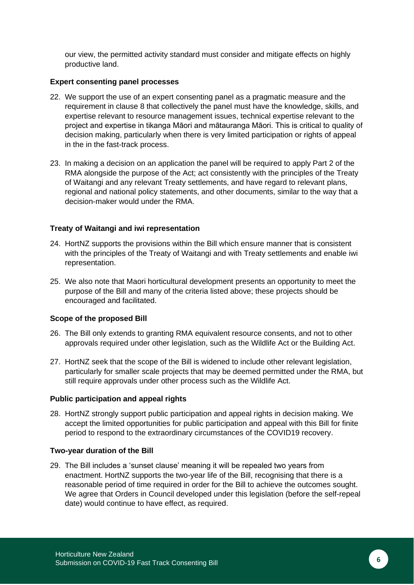our view, the permitted activity standard must consider and mitigate effects on highly productive land.

#### **Expert consenting panel processes**

- 22. We support the use of an expert consenting panel as a pragmatic measure and the requirement in clause 8 that collectively the panel must have the knowledge, skills, and expertise relevant to resource management issues, technical expertise relevant to the project and expertise in tikanga Māori and mātauranga Māori. This is critical to quality of decision making, particularly when there is very limited participation or rights of appeal in the in the fast-track process.
- 23. In making a decision on an application the panel will be required to apply Part 2 of the RMA alongside the purpose of the Act; act consistently with the principles of the Treaty of Waitangi and any relevant Treaty settlements, and have regard to relevant plans, regional and national policy statements, and other documents, similar to the way that a decision-maker would under the RMA.

#### **Treaty of Waitangi and iwi representation**

- 24. HortNZ supports the provisions within the Bill which ensure manner that is consistent with the principles of the Treaty of Waitangi and with Treaty settlements and enable iwi representation.
- 25. We also note that Maori horticultural development presents an opportunity to meet the purpose of the Bill and many of the criteria listed above; these projects should be encouraged and facilitated.

#### **Scope of the proposed Bill**

- 26. The Bill only extends to granting RMA equivalent resource consents, and not to other approvals required under other legislation, such as the Wildlife Act or the Building Act.
- 27. HortNZ seek that the scope of the Bill is widened to include other relevant legislation, particularly for smaller scale projects that may be deemed permitted under the RMA, but still require approvals under other process such as the Wildlife Act.

#### **Public participation and appeal rights**

28. HortNZ strongly support public participation and appeal rights in decision making. We accept the limited opportunities for public participation and appeal with this Bill for finite period to respond to the extraordinary circumstances of the COVID19 recovery.

#### **Two-year duration of the Bill**

29. The Bill includes a 'sunset clause' meaning it will be repealed two years from enactment. HortNZ supports the two-year life of the Bill, recognising that there is a reasonable period of time required in order for the Bill to achieve the outcomes sought. We agree that Orders in Council developed under this legislation (before the self-repeal date) would continue to have effect, as required.